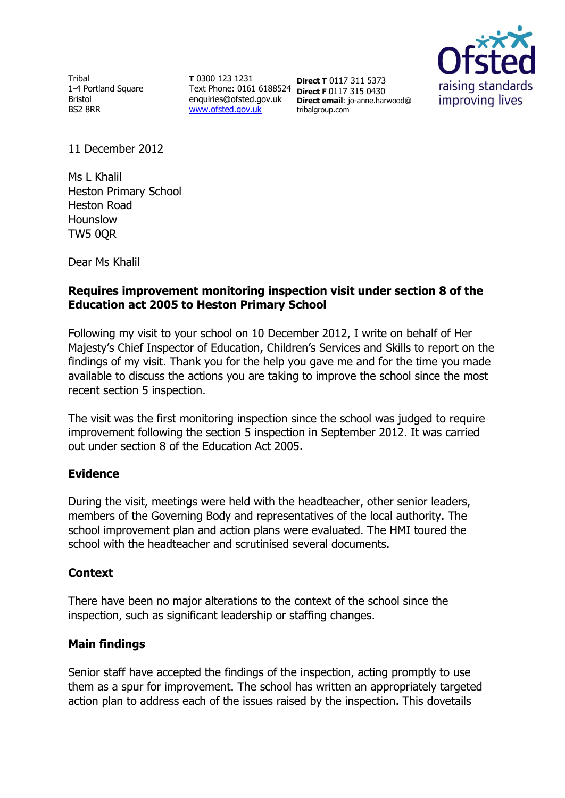Tribal 1-4 Portland Square Bristol BS2 8RR

**T** 0300 123 1231 Text Phone: 0161 6188524 **Direct F** 0117 315 0430 enquiries@ofsted.gov.uk [www.ofsted.gov.uk](http://www.ofsted.gov.uk/)

**Direct T** 0117 311 5373 **Direct email**: jo-anne.harwood@ tribalgroup.com



11 December 2012

Ms L Khalil Heston Primary School Heston Road Hounslow TW5 0QR

Dear Ms Khalil

## **Requires improvement monitoring inspection visit under section 8 of the Education act 2005 to Heston Primary School**

Following my visit to your school on 10 December 2012, I write on behalf of Her Majesty's Chief Inspector of Education, Children's Services and Skills to report on the findings of my visit. Thank you for the help you gave me and for the time you made available to discuss the actions you are taking to improve the school since the most recent section 5 inspection.

The visit was the first monitoring inspection since the school was judged to require improvement following the section 5 inspection in September 2012. It was carried out under section 8 of the Education Act 2005.

### **Evidence**

During the visit, meetings were held with the headteacher, other senior leaders, members of the Governing Body and representatives of the local authority. The school improvement plan and action plans were evaluated. The HMI toured the school with the headteacher and scrutinised several documents.

### **Context**

There have been no major alterations to the context of the school since the inspection, such as significant leadership or staffing changes.

# **Main findings**

Senior staff have accepted the findings of the inspection, acting promptly to use them as a spur for improvement. The school has written an appropriately targeted action plan to address each of the issues raised by the inspection. This dovetails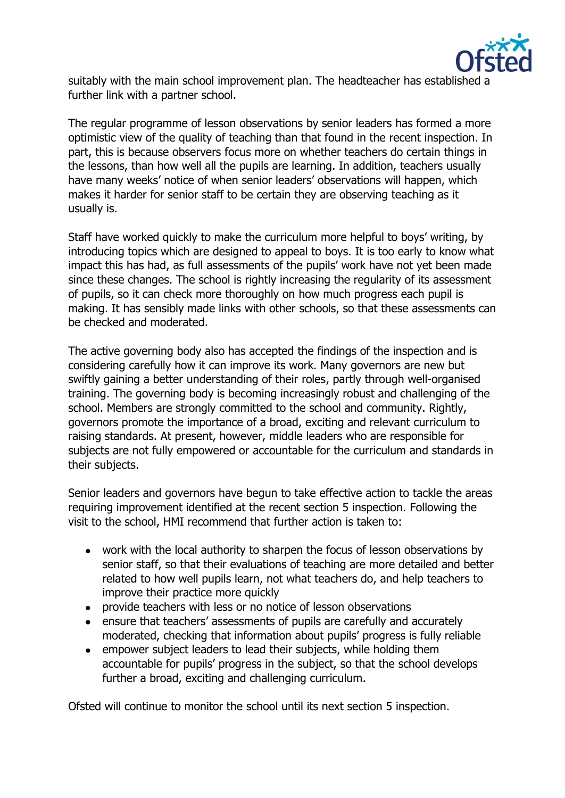

suitably with the main school improvement plan. The headteacher has established a further link with a partner school.

The regular programme of lesson observations by senior leaders has formed a more optimistic view of the quality of teaching than that found in the recent inspection. In part, this is because observers focus more on whether teachers do certain things in the lessons, than how well all the pupils are learning. In addition, teachers usually have many weeks' notice of when senior leaders' observations will happen, which makes it harder for senior staff to be certain they are observing teaching as it usually is.

Staff have worked quickly to make the curriculum more helpful to boys' writing, by introducing topics which are designed to appeal to boys. It is too early to know what impact this has had, as full assessments of the pupils' work have not yet been made since these changes. The school is rightly increasing the regularity of its assessment of pupils, so it can check more thoroughly on how much progress each pupil is making. It has sensibly made links with other schools, so that these assessments can be checked and moderated.

The active governing body also has accepted the findings of the inspection and is considering carefully how it can improve its work. Many governors are new but swiftly gaining a better understanding of their roles, partly through well-organised training. The governing body is becoming increasingly robust and challenging of the school. Members are strongly committed to the school and community. Rightly, governors promote the importance of a broad, exciting and relevant curriculum to raising standards. At present, however, middle leaders who are responsible for subjects are not fully empowered or accountable for the curriculum and standards in their subjects.

Senior leaders and governors have begun to take effective action to tackle the areas requiring improvement identified at the recent section 5 inspection. Following the visit to the school, HMI recommend that further action is taken to:

- work with the local authority to sharpen the focus of lesson observations by senior staff, so that their evaluations of teaching are more detailed and better related to how well pupils learn, not what teachers do, and help teachers to improve their practice more quickly
- provide teachers with less or no notice of lesson observations  $\bullet$
- ensure that teachers' assessments of pupils are carefully and accurately moderated, checking that information about pupils' progress is fully reliable
- empower subject leaders to lead their subjects, while holding them  $\bullet$ accountable for pupils' progress in the subject, so that the school develops further a broad, exciting and challenging curriculum.

Ofsted will continue to monitor the school until its next section 5 inspection.